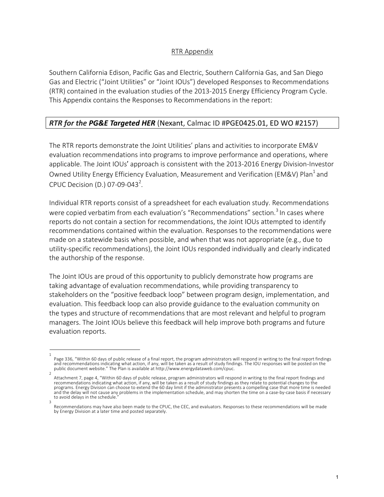## RTR Appendix

Southern California Edison, Pacific Gas and Electric, Southern California Gas, and San Diego Gas and Electric ("Joint Utilities" or "Joint IOUs") developed Responses to Recommendations (RTR) contained in the evaluation studies of the 2013-2015 Energy Efficiency Program Cycle. This Appendix contains the Responses to Recommendations in the report:

## *RTR for the PG&E Targeted HER* (Nexant, Calmac ID #PGE0425.01, ED WO #2157)

The RTR reports demonstrate the Joint Utilities' plans and activities to incorporate EM&V evaluation recommendations into programs to improve performance and operations, where applicable. The Joint IOUs' approach is consistent with the 2013-2016 Energy Division-Investor Owned Utility Energy Efficiency Evaluation, Measurement and Verification (EM&V) Plan<sup>1</sup> and CPUC Decision (D.) 07-09-043<sup>2</sup>.

Individual RTR reports consist of a spreadsheet for each evaluation study. Recommendations were copied verbatim from each evaluation's "Recommendations" section.<sup>3</sup> In cases where reports do not contain a section for recommendations, the Joint IOUs attempted to identify recommendations contained within the evaluation. Responses to the recommendations were made on a statewide basis when possible, and when that was not appropriate (e.g., due to utility-specific recommendations), the Joint IOUs responded individually and clearly indicated the authorship of the response.

The Joint IOUs are proud of this opportunity to publicly demonstrate how programs are taking advantage of evaluation recommendations, while providing transparency to stakeholders on the "positive feedback loop" between program design, implementation, and evaluation. This feedback loop can also provide guidance to the evaluation community on the types and structure of recommendations that are most relevant and helpful to program managers. The Joint IOUs believe this feedback will help improve both programs and future evaluation reports.

<sup>1</sup>  Page 336, "Within 60 days of public release of a final report, the program administrators will respond in writing to the final report findings and recommendations indicating what action, if any, will be taken as a result of study findings. The IOU responses will be posted on the public document website." The Plan is available at http://www.energydataweb.com/cpuc.

Attachment 7, page 4, "Within 60 days of public release, program administrators will respond in writing to the final report findings and<br>recommendations indicating what action, if any, will be taken as a result of study fi programs. Energy Division can choose to extend the 60 day limit if the administrator presents a compelling case that more time is needed and the delay will not cause any problems in the implementation schedule, and may shorten the time on a case-by-case basis if necessary to avoid delays in the schedule.

<sup>3</sup>  Recommendations may have also been made to the CPUC, the CEC, and evaluators. Responses to these recommendations will be made by Energy Division at a later time and posted separately.